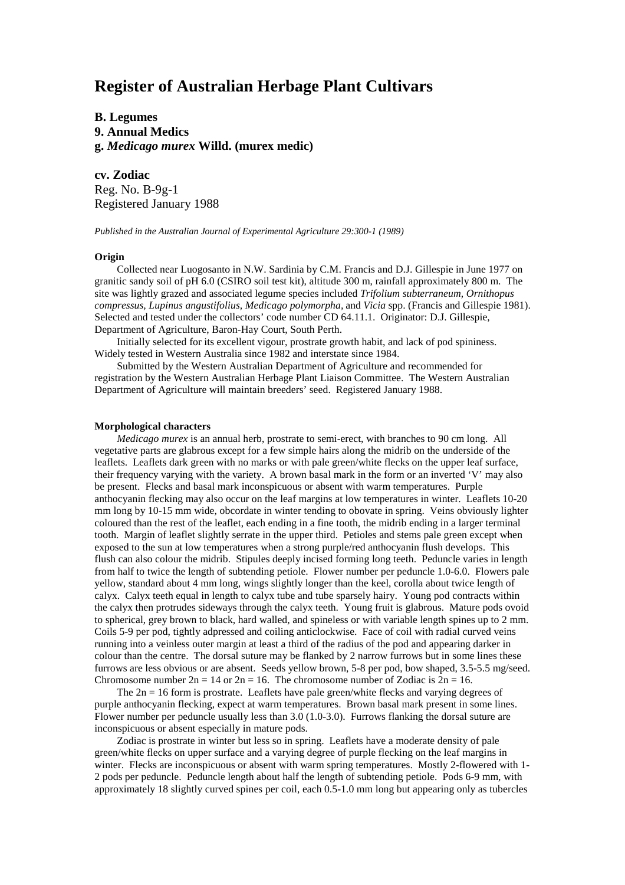# **Register of Australian Herbage Plant Cultivars**

**B. Legumes 9. Annual Medics g.** *Medicago murex* **Willd. (murex medic)**

**cv. Zodiac** Reg. No. B-9g-1 Registered January 1988

*Published in the Australian Journal of Experimental Agriculture 29:300-1 (1989)*

## **Origin**

Collected near Luogosanto in N.W. Sardinia by C.M. Francis and D.J. Gillespie in June 1977 on granitic sandy soil of pH 6.0 (CSIRO soil test kit), altitude 300 m, rainfall approximately 800 m. The site was lightly grazed and associated legume species included *Trifolium subterraneum, Ornithopus compressus, Lupinus angustifolius, Medicago polymorpha,* and *Vicia* spp. (Francis and Gillespie 1981). Selected and tested under the collectors' code number CD 64.11.1. Originator: D.J. Gillespie, Department of Agriculture, Baron-Hay Court, South Perth.

Initially selected for its excellent vigour, prostrate growth habit, and lack of pod spininess. Widely tested in Western Australia since 1982 and interstate since 1984.

Submitted by the Western Australian Department of Agriculture and recommended for registration by the Western Australian Herbage Plant Liaison Committee. The Western Australian Department of Agriculture will maintain breeders' seed. Registered January 1988.

#### **Morphological characters**

*Medicago murex* is an annual herb, prostrate to semi-erect, with branches to 90 cm long. All vegetative parts are glabrous except for a few simple hairs along the midrib on the underside of the leaflets. Leaflets dark green with no marks or with pale green/white flecks on the upper leaf surface, their frequency varying with the variety. A brown basal mark in the form or an inverted 'V' may also be present. Flecks and basal mark inconspicuous or absent with warm temperatures. Purple anthocyanin flecking may also occur on the leaf margins at low temperatures in winter. Leaflets 10-20 mm long by 10-15 mm wide, obcordate in winter tending to obovate in spring. Veins obviously lighter coloured than the rest of the leaflet, each ending in a fine tooth, the midrib ending in a larger terminal tooth. Margin of leaflet slightly serrate in the upper third. Petioles and stems pale green except when exposed to the sun at low temperatures when a strong purple/red anthocyanin flush develops. This flush can also colour the midrib. Stipules deeply incised forming long teeth. Peduncle varies in length from half to twice the length of subtending petiole. Flower number per peduncle 1.0-6.0. Flowers pale yellow, standard about 4 mm long, wings slightly longer than the keel, corolla about twice length of calyx. Calyx teeth equal in length to calyx tube and tube sparsely hairy. Young pod contracts within the calyx then protrudes sideways through the calyx teeth. Young fruit is glabrous. Mature pods ovoid to spherical, grey brown to black, hard walled, and spineless or with variable length spines up to 2 mm. Coils 5-9 per pod, tightly adpressed and coiling anticlockwise. Face of coil with radial curved veins running into a veinless outer margin at least a third of the radius of the pod and appearing darker in colour than the centre. The dorsal suture may be flanked by 2 narrow furrows but in some lines these furrows are less obvious or are absent. Seeds yellow brown, 5-8 per pod, bow shaped, 3.5-5.5 mg/seed. Chromosome number  $2n = 14$  or  $2n = 16$ . The chromosome number of Zodiac is  $2n = 16$ .

The  $2n = 16$  form is prostrate. Leaflets have pale green/white flecks and varying degrees of purple anthocyanin flecking, expect at warm temperatures. Brown basal mark present in some lines. Flower number per peduncle usually less than 3.0 (1.0-3.0). Furrows flanking the dorsal suture are inconspicuous or absent especially in mature pods.

Zodiac is prostrate in winter but less so in spring. Leaflets have a moderate density of pale green/white flecks on upper surface and a varying degree of purple flecking on the leaf margins in winter. Flecks are inconspicuous or absent with warm spring temperatures. Mostly 2-flowered with 1- 2 pods per peduncle. Peduncle length about half the length of subtending petiole. Pods 6-9 mm, with approximately 18 slightly curved spines per coil, each 0.5-1.0 mm long but appearing only as tubercles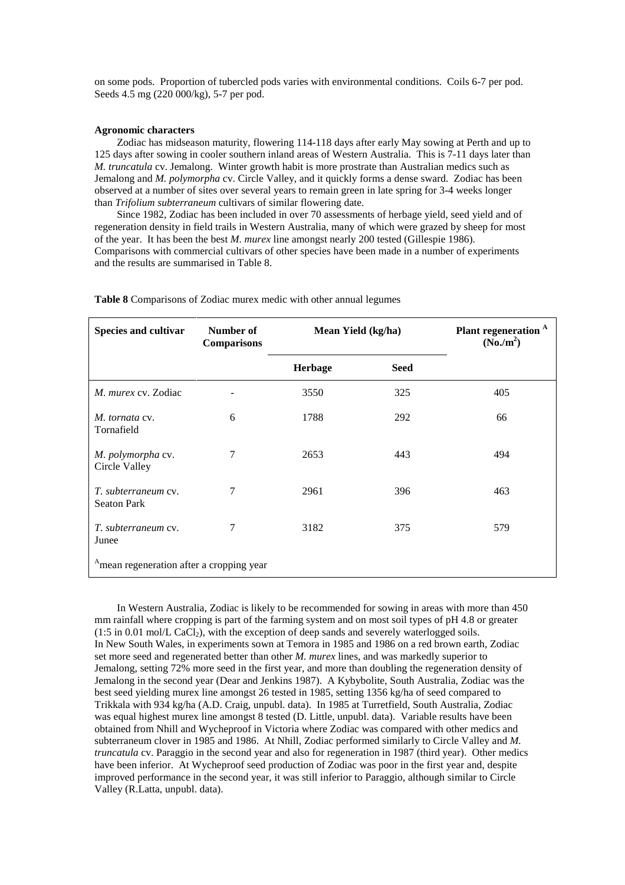on some pods. Proportion of tubercled pods varies with environmental conditions. Coils 6-7 per pod. Seeds 4.5 mg (220 000/kg), 5-7 per pod.

#### **Agronomic characters**

Zodiac has midseason maturity, flowering 114-118 days after early May sowing at Perth and up to 125 days after sowing in cooler southern inland areas of Western Australia. This is 7-11 days later than *M. truncatula* cv. Jemalong. Winter growth habit is more prostrate than Australian medics such as Jemalong and *M. polymorpha* cv. Circle Valley, and it quickly forms a dense sward. Zodiac has been observed at a number of sites over several years to remain green in late spring for 3-4 weeks longer than *Trifolium subterraneum* cultivars of similar flowering date.

Since 1982, Zodiac has been included in over 70 assessments of herbage yield, seed yield and of regeneration density in field trails in Western Australia, many of which were grazed by sheep for most of the year. It has been the best *M. murex* line amongst nearly 200 tested (Gillespie 1986). Comparisons with commercial cultivars of other species have been made in a number of experiments and the results are summarised in Table 8.

| Species and cultivar                                 | Number of<br><b>Comparisons</b> | Mean Yield (kg/ha) |             | Plant regeneration <sup>A</sup><br>$(No./m^2)$ |
|------------------------------------------------------|---------------------------------|--------------------|-------------|------------------------------------------------|
|                                                      |                                 | <b>Herbage</b>     | <b>Seed</b> |                                                |
| M. murex cv. Zodiac                                  |                                 | 3550               | 325         | 405                                            |
| M. tornata cv.<br>Tornafield                         | 6                               | 1788               | 292         | 66                                             |
| M. polymorpha cv.<br>Circle Valley                   | 7                               | 2653               | 443         | 494                                            |
| <i>T. subterraneum cv.</i><br><b>Seaton Park</b>     | 7                               | 2961               | 396         | 463                                            |
| T. subterraneum cv.<br>Junee                         | 7                               | 3182               | 375         | 579                                            |
| <sup>A</sup> mean regeneration after a cropping year |                                 |                    |             |                                                |

**Table 8** Comparisons of Zodiac murex medic with other annual legumes

In Western Australia, Zodiac is likely to be recommended for sowing in areas with more than 450 mm rainfall where cropping is part of the farming system and on most soil types of pH 4.8 or greater  $(1:5 \text{ in } 0.01 \text{ mol/L } CaCl<sub>2</sub>)$ , with the exception of deep sands and severely waterlogged soils. In New South Wales, in experiments sown at Temora in 1985 and 1986 on a red brown earth, Zodiac set more seed and regenerated better than other *M. murex* lines, and was markedly superior to Jemalong, setting 72% more seed in the first year, and more than doubling the regeneration density of Jemalong in the second year (Dear and Jenkins 1987). A Kybybolite, South Australia, Zodiac was the best seed yielding murex line amongst 26 tested in 1985, setting 1356 kg/ha of seed compared to Trikkala with 934 kg/ha (A.D. Craig, unpubl. data). In 1985 at Turretfield, South Australia, Zodiac was equal highest murex line amongst 8 tested (D. Little, unpubl. data). Variable results have been obtained from Nhill and Wycheproof in Victoria where Zodiac was compared with other medics and subterraneum clover in 1985 and 1986. At Nhill, Zodiac performed similarly to Circle Valley and *M. truncatula* cv. Paraggio in the second year and also for regeneration in 1987 (third year). Other medics have been inferior. At Wycheproof seed production of Zodiac was poor in the first year and, despite improved performance in the second year, it was still inferior to Paraggio, although similar to Circle Valley (R.Latta, unpubl. data).